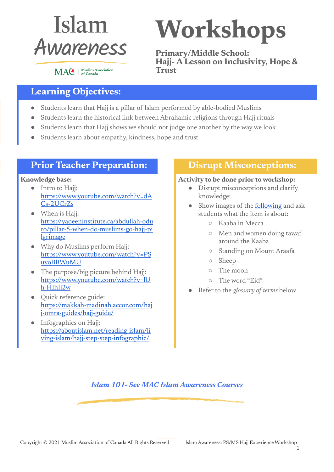

MAC | Muslim Association

# **Workshops**

**Primary/Middle School: Hajj- A Lesson on Inclusivity, Hope & Trust**

## **Learning Objectives:**

- Students learn that Hajj is a pillar of Islam performed by able-bodied Muslims
- Students learn the historical link between Abrahamic religions through Hajj rituals
- Students learn that Hajj shows we should not judge one another by the way we look
- Students learn about empathy, kindness, hope and trust

#### **Prior Teacher Preparation: Disrupt Misconceptions:**

#### **Knowledge base:**

- Intro to Hajj: [https://www.youtube.com/watch?v=dA](https://www.youtube.com/watch?v=dACs-2UCrZs) [Cs-2UCrZs](https://www.youtube.com/watch?v=dACs-2UCrZs)
- When is Hajj: [https://yaqeeninstitute.ca/abdullah-odu](https://yaqeeninstitute.ca/abdullah-oduro/pillar-5-when-do-muslims-go-hajj-pilgrimage) [ro/pillar-5-when-do-muslims-go-hajj-pi](https://yaqeeninstitute.ca/abdullah-oduro/pillar-5-when-do-muslims-go-hajj-pilgrimage) **[lgrimage](https://yaqeeninstitute.ca/abdullah-oduro/pillar-5-when-do-muslims-go-hajj-pilgrimage)**
- Why do Muslims perform Hajj: [https://www.youtube.com/watch?v=PS](https://www.youtube.com/watch?v=PSuvoBRWuMU) [uvoBRWuMU](https://www.youtube.com/watch?v=PSuvoBRWuMU)
- The purpose/big picture behind Hajj: [https://www.youtube.com/watch?v=lU](https://www.youtube.com/watch?v=lUh-HIhIj2w) [h-HIhIj2w](https://www.youtube.com/watch?v=lUh-HIhIj2w)
- Quick reference guide: [https://makkah-madinah.accor.com/haj](https://makkah-madinah.accor.com/hajj-omra-guides/hajj-guide/) [j-omra-guides/hajj-guide/](https://makkah-madinah.accor.com/hajj-omra-guides/hajj-guide/)
- Infographics on Hajj: [https://aboutislam.net/reading-islam/li](https://aboutislam.net/reading-islam/living-islam/hajj-step-step-infographic/) [ving-islam/hajj-step-step-infographic/](https://aboutislam.net/reading-islam/living-islam/hajj-step-step-infographic/)

#### **Activity to be done prior to workshop:**

- Disrupt misconceptions and clarify knowledge:
- Show images of the **[following](https://www.cbc.ca/kidscbc2/the-feed/hajj-the-journey-that-all-muslims-must-make-in-their-lifetime)** and ask students what the item is about:
	- Kaaba in Mecca
	- Men and women doing tawaf around the Kaaba
	- Standing on Mount Araafa
	- Sheep
	- The moon
	- The word "Eid"
- Refer to the *glossary of terms* below

*Islam 101- See MAC Islam Awareness Courses*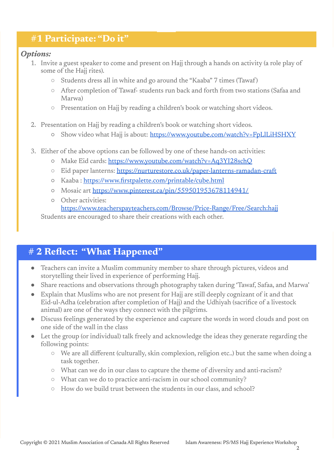### **#1 Participate: "Do it"**

#### *Options:*

- 1. Invite a guest speaker to come and present on Hajj through a hands on activity (a role play of some of the Hajj rites).
	- Students dress all in white and go around the "Kaaba" 7 times (Tawaf)
	- After completion of Tawaf- students run back and forth from two stations (Safaa and Marwa)
	- Presentation on Hajj by reading a children's book or watching short videos.
- 2. Presentation on Hajj by reading a children's book or watching short videos.
	- o Show video what Hajj is about: <https://www.youtube.com/watch?v=FpLlLiHSHXY>
- 3. Either of the above options can be followed by one of these hands-on activities:
	- Make Eid cards: <https://www.youtube.com/watch?v=Aq3YI28schQ>
	- Eid paper lanterns: <https://nurturestore.co.uk/paper-lanterns-ramadan-craft>
	- Kaaba : <https://www.firstpalette.com/printable/cube.html>
	- Mosaic art <https://www.pinterest.ca/pin/559501953678114941/>
	- Other activities:

<https://www.teacherspayteachers.com/Browse/Price-Range/Free/Search:hajj> Students are encouraged to share their creations with each other.

# **# 2 Reflect: "What Happened"**

- Teachers can invite a Muslim community member to share through pictures, videos and storytelling their lived in experience of performing Hajj.
- Share reactions and observations through photography taken during 'Tawaf, Safaa, and Marwa'
- Explain that Muslims who are not present for Hajj are still deeply cognizant of it and that Eid-ul-Adha (celebration after completion of Hajj) and the Udhiyah (sacrifice of a livestock animal) are one of the ways they connect with the pilgrims.
- Discuss feelings generated by the experience and capture the words in word clouds and post on one side of the wall in the class
- Let the group (or individual) talk freely and acknowledge the ideas they generate regarding the following points:
	- We are all different (culturally, skin complexion, religion etc..) but the same when doing a task together.
	- What can we do in our class to capture the theme of diversity and anti-racism?
	- What can we do to practice anti-racism in our school community?
	- How do we build trust between the students in our class, and school?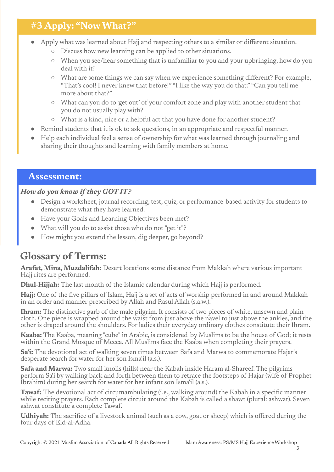# **#3 Apply: "NowWhat?"**

- Apply what was learned about Hajj and respecting others to a similar or different situation.
	- Discuss how new learning can be applied to other situations.
	- When you see/hear something that is unfamiliar to you and your upbringing, how do you deal with it?
	- What are some things we can say when we experience something different? For example, "That's cool! I never knew that before!" "I like the way you do that." "Can you tell me more about that?"
	- What can you do to 'get out' of your comfort zone and play with another student that you do not usually play with?
	- What is a kind, nice or a helpful act that you have done for another student?
- Remind students that it is ok to ask questions, in an appropriate and respectful manner.
- Help each individual feel a sense of ownership for what was learned through journaling and sharing their thoughts and learning with family members at home.

#### **Assessment:**

#### *How do you know if they GOT IT?*

- Design a worksheet, journal recording, test, quiz, or performance-based activity for students to demonstrate what they have learned.
- Have your Goals and Learning Objectives been met?
- What will you do to assist those who do not "get it"?
- How might you extend the lesson, dig deeper, go beyond?

# **Glossary of Terms:**

**Arafat, Mina, Muzdalifah:** Desert locations some distance from Makkah where various important Hajj rites are performed.

**Dhul-Hijjah:** The last month of the Islamic calendar during which Hajj is performed.

**Hajj:** One of the five pillars of Islam, Hajj is a set of acts of worship performed in and around Makkah in an order and manner prescribed by Allah and Rasul Allah (s.a.w.).

**Ihram:** The distinctive garb of the male pilgrim. It consists of two pieces of white, unsewn and plain cloth. One piece is wrapped around the waist from just above the navel to just above the ankles, and the other is draped around the shoulders. For ladies their everyday ordinary clothes constitute their Ihram.

**Kaaba:** The Kaaba, meaning "cube" in Arabic, is considered by Muslims to be the house of God; it rests within the Grand Mosque of Mecca. All Muslims face the Kaaba when completing their prayers.

**Sa'i:** The devotional act of walking seven times between Safa and Marwa to commemorate Hajar's desperate search for water for her son Isma'il (a.s.).

**Safa and Marwa:** Two small knolls (hills) near the Kabah inside Haram al-Shareef. The pilgrims perform Sa'i by walking back and forth between them to retrace the footsteps of Hajar (wife of Prophet Ibrahim) during her search for water for her infant son Isma'il (a.s.).

**Tawaf:** The devotional act of circumambulating (i.e., walking around) the Kabah in a specific manner while reciting prayers. Each complete circuit around the Kabah is called a shawt (plural: ashwat). Seven ashwat constitute a complete Tawaf.

**Udhiyah:** The sacrifice of a livestock animal (such as a cow, goat or sheep) which is offered during the four days of Eid-al-Adha.